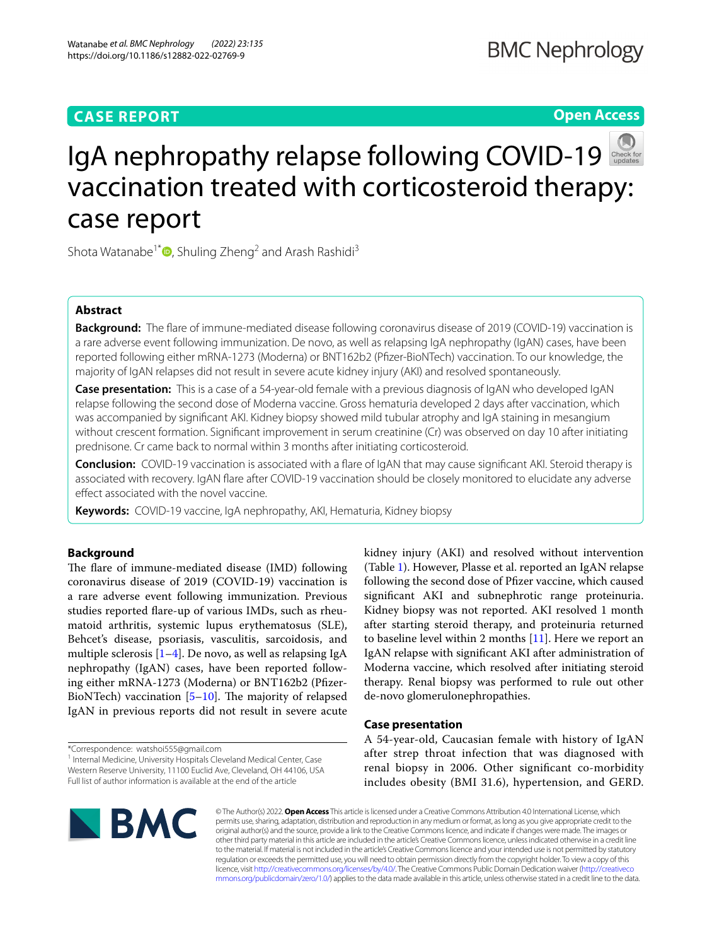# **CASE REPORT**

# **Open Access**



# IgAnephropathy relapse following COVID-19 vaccination treated with corticosteroid therapy: case report

Shota Watanabe<sup>1\*</sup> **D**[,](http://orcid.org/0000-0002-9197-2221) Shuling Zheng<sup>2</sup> and Arash Rashidi<sup>3</sup>

# **Abstract**

**Background:** The fare of immune-mediated disease following coronavirus disease of 2019 (COVID-19) vaccination is a rare adverse event following immunization. De novo, as well as relapsing IgA nephropathy (IgAN) cases, have been reported following either mRNA-1273 (Moderna) or BNT162b2 (Pfzer-BioNTech) vaccination. To our knowledge, the majority of IgAN relapses did not result in severe acute kidney injury (AKI) and resolved spontaneously.

**Case presentation:** This is a case of a 54-year-old female with a previous diagnosis of IgAN who developed IgAN relapse following the second dose of Moderna vaccine. Gross hematuria developed 2 days after vaccination, which was accompanied by signifcant AKI. Kidney biopsy showed mild tubular atrophy and IgA staining in mesangium without crescent formation. Signifcant improvement in serum creatinine (Cr) was observed on day 10 after initiating prednisone. Cr came back to normal within 3 months after initiating corticosteroid.

**Conclusion:** COVID-19 vaccination is associated with a fare of IgAN that may cause signifcant AKI. Steroid therapy is associated with recovery. IgAN fare after COVID-19 vaccination should be closely monitored to elucidate any adverse effect associated with the novel vaccine.

**Keywords:** COVID-19 vaccine, IgA nephropathy, AKI, Hematuria, Kidney biopsy

# **Background**

The flare of immune-mediated disease (IMD) following coronavirus disease of 2019 (COVID-19) vaccination is a rare adverse event following immunization. Previous studies reported fare-up of various IMDs, such as rheumatoid arthritis, systemic lupus erythematosus (SLE), Behcet's disease, psoriasis, vasculitis, sarcoidosis, and multiple sclerosis [\[1](#page-3-0)[–4\]](#page-3-1). De novo, as well as relapsing IgA nephropathy (IgAN) cases, have been reported following either mRNA-1273 (Moderna) or BNT162b2 (Pfzer-BioNTech) vaccination  $[5-10]$  $[5-10]$ . The majority of relapsed IgAN in previous reports did not result in severe acute

\*Correspondence: watshoi555@gmail.com

<sup>1</sup> Internal Medicine, University Hospitals Cleveland Medical Center, Case Western Reserve University, 11100 Euclid Ave, Cleveland, OH 44106, USA Full list of author information is available at the end of the article

kidney injury (AKI) and resolved without intervention (Table [1\)](#page-1-0). However, Plasse et al. reported an IgAN relapse following the second dose of Pfzer vaccine, which caused signifcant AKI and subnephrotic range proteinuria. Kidney biopsy was not reported. AKI resolved 1 month after starting steroid therapy, and proteinuria returned to baseline level within 2 months [[11\]](#page-3-4). Here we report an IgAN relapse with signifcant AKI after administration of Moderna vaccine, which resolved after initiating steroid therapy. Renal biopsy was performed to rule out other de-novo glomerulonephropathies.

# **Case presentation**

A 54-year-old, Caucasian female with history of IgAN after strep throat infection that was diagnosed with renal biopsy in 2006. Other signifcant co-morbidity includes obesity (BMI 31.6), hypertension, and GERD.



© The Author(s) 2022. **Open Access** This article is licensed under a Creative Commons Attribution 4.0 International License, which permits use, sharing, adaptation, distribution and reproduction in any medium or format, as long as you give appropriate credit to the original author(s) and the source, provide a link to the Creative Commons licence, and indicate if changes were made. The images or other third party material in this article are included in the article's Creative Commons licence, unless indicated otherwise in a credit line to the material. If material is not included in the article's Creative Commons licence and your intended use is not permitted by statutory regulation or exceeds the permitted use, you will need to obtain permission directly from the copyright holder. To view a copy of this licence, visit [http://creativecommons.org/licenses/by/4.0/.](http://creativecommons.org/licenses/by/4.0/) The Creative Commons Public Domain Dedication waiver ([http://creativeco](http://creativecommons.org/publicdomain/zero/1.0/) [mmons.org/publicdomain/zero/1.0/](http://creativecommons.org/publicdomain/zero/1.0/)) applies to the data made available in this article, unless otherwise stated in a credit line to the data.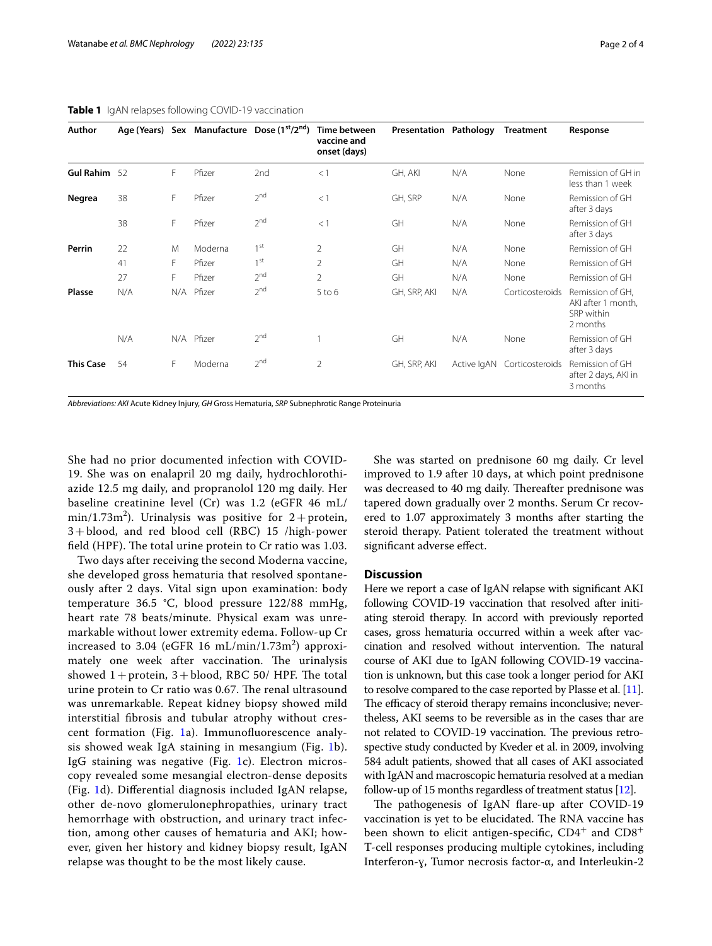| Author           |     |    |            | Age (Years) Sex Manufacture Dose (1 <sup>st</sup> /2 <sup>nd</sup> ) | Time between<br>vaccine and<br>onset (days) | Presentation Pathology |             | <b>Treatment</b> | Response                                                         |
|------------------|-----|----|------------|----------------------------------------------------------------------|---------------------------------------------|------------------------|-------------|------------------|------------------------------------------------------------------|
| <b>Gul Rahim</b> | 52  | F  | Pfizer     | 2nd                                                                  | <1                                          | GH, AKI                | N/A         | None             | Remission of GH in<br>less than 1 week                           |
| Negrea           | 38  | F  | Pfizer     | 2 <sup>nd</sup>                                                      | <1                                          | GH, SRP                | N/A         | None             | Remission of GH<br>after 3 days                                  |
|                  | 38  | F  | Pfizer     | 2 <sup>nd</sup>                                                      | <1                                          | GH                     | N/A         | None             | Remission of GH<br>after 3 days                                  |
| Perrin           | 22  | M  | Moderna    | 1 <sup>st</sup>                                                      | $\overline{2}$                              | GH                     | N/A         | None             | Remission of GH                                                  |
|                  | 41  | F. | Pfizer     | 1 <sup>st</sup>                                                      | $\mathfrak{D}$                              | <b>GH</b>              | N/A         | None             | Remission of GH                                                  |
|                  | 27  | F  | Pfizer     | $2^{nd}$                                                             | $\overline{2}$                              | GH                     | N/A         | None             | Remission of GH                                                  |
| <b>Plasse</b>    | N/A |    | N/A Pfizer | 2 <sup>nd</sup>                                                      | $5$ to $6$                                  | GH, SRP, AKI           | N/A         | Corticosteroids  | Remission of GH,<br>AKI after 1 month,<br>SRP within<br>2 months |
|                  | N/A |    | N/A Pfizer | 2 <sup>nd</sup>                                                      |                                             | GH                     | N/A         | None             | Remission of GH<br>after 3 days                                  |
| <b>This Case</b> | 54  | F  | Moderna    | 2 <sup>nd</sup>                                                      | $\overline{2}$                              | GH, SRP, AKI           | Active IgAN | Corticosteroids  | Remission of GH<br>after 2 days, AKI in<br>3 months              |

# <span id="page-1-0"></span>**Table 1** IgAN relapses following COVID-19 vaccination

*Abbreviations: AKI* Acute Kidney Injury, *GH* Gross Hematuria, *SRP* Subnephrotic Range Proteinuria

She had no prior documented infection with COVID-19. She was on enalapril 20 mg daily, hydrochlorothiazide 12.5 mg daily, and propranolol 120 mg daily. Her baseline creatinine level (Cr) was 1.2 (eGFR 46 mL/  $min/1.73m<sup>2</sup>$ ). Urinalysis was positive for 2+protein, 3+blood, and red blood cell (RBC) 15 /high-power field (HPF). The total urine protein to Cr ratio was 1.03.

Two days after receiving the second Moderna vaccine, she developed gross hematuria that resolved spontaneously after 2 days. Vital sign upon examination: body temperature 36.5 °C, blood pressure 122/88 mmHg, heart rate 78 beats/minute. Physical exam was unremarkable without lower extremity edema. Follow-up Cr increased to 3.04 (eGFR 16 mL/min/1.73m $^2$ ) approximately one week after vaccination. The urinalysis showed  $1+$  protein,  $3+$  blood, RBC 50/ HPF. The total urine protein to Cr ratio was 0.67. The renal ultrasound was unremarkable. Repeat kidney biopsy showed mild interstitial fbrosis and tubular atrophy without crescent formation (Fig. [1a](#page-2-0)). Immunofuorescence analysis showed weak IgA staining in mesangium (Fig. [1b](#page-2-0)). IgG staining was negative (Fig. [1](#page-2-0)c). Electron microscopy revealed some mesangial electron-dense deposits (Fig. [1d](#page-2-0)). Diferential diagnosis included IgAN relapse, other de-novo glomerulonephropathies, urinary tract hemorrhage with obstruction, and urinary tract infection, among other causes of hematuria and AKI; however, given her history and kidney biopsy result, IgAN relapse was thought to be the most likely cause.

She was started on prednisone 60 mg daily. Cr level improved to 1.9 after 10 days, at which point prednisone was decreased to 40 mg daily. Thereafter prednisone was tapered down gradually over 2 months. Serum Cr recovered to 1.07 approximately 3 months after starting the steroid therapy. Patient tolerated the treatment without signifcant adverse efect.

# **Discussion**

Here we report a case of IgAN relapse with signifcant AKI following COVID-19 vaccination that resolved after initiating steroid therapy. In accord with previously reported cases, gross hematuria occurred within a week after vaccination and resolved without intervention. The natural course of AKI due to IgAN following COVID-19 vaccination is unknown, but this case took a longer period for AKI to resolve compared to the case reported by Plasse et al. [\[11](#page-3-4)]. The efficacy of steroid therapy remains inconclusive; nevertheless, AKI seems to be reversible as in the cases thar are not related to COVID-19 vaccination. The previous retrospective study conducted by Kveder et al. in 2009, involving 584 adult patients, showed that all cases of AKI associated with IgAN and macroscopic hematuria resolved at a median follow-up of 15 months regardless of treatment status [[12](#page-3-5)].

The pathogenesis of IgAN flare-up after COVID-19 vaccination is yet to be elucidated. The RNA vaccine has been shown to elicit antigen-specific,  $CD4^+$  and  $CD8^+$ T-cell responses producing multiple cytokines, including Interferon-ɣ, Tumor necrosis factor-α, and Interleukin-2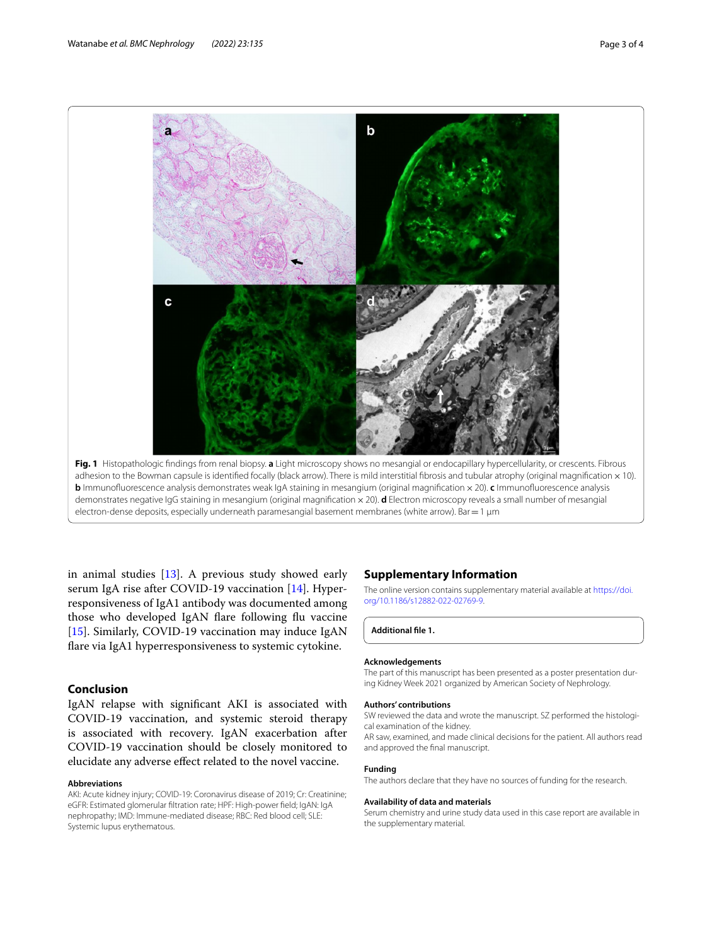

<span id="page-2-0"></span>electron-dense deposits, especially underneath paramesangial basement membranes (white arrow). Bar=1 μm

in animal studies [[13\]](#page-3-6). A previous study showed early serum IgA rise after COVID-19 vaccination [\[14](#page-3-7)]. Hyperresponsiveness of IgA1 antibody was documented among those who developed IgAN flare following flu vaccine [[15\]](#page-3-8). Similarly, COVID-19 vaccination may induce IgAN fare via IgA1 hyperresponsiveness to systemic cytokine.

# **Conclusion**

IgAN relapse with signifcant AKI is associated with COVID-19 vaccination, and systemic steroid therapy is associated with recovery. IgAN exacerbation after COVID-19 vaccination should be closely monitored to elucidate any adverse efect related to the novel vaccine.

#### **Abbreviations**

AKI: Acute kidney injury; COVID-19: Coronavirus disease of 2019; Cr: Creatinine; eGFR: Estimated glomerular fltration rate; HPF: High-power feld; IgAN: IgA nephropathy; IMD: Immune-mediated disease; RBC: Red blood cell; SLE: Systemic lupus erythematous.

# **Supplementary Information**

The online version contains supplementary material available at [https://doi.](https://doi.org/10.1186/s12882-022-02769-9) [org/10.1186/s12882-022-02769-9](https://doi.org/10.1186/s12882-022-02769-9).

**Additional fle 1.**

#### **Acknowledgements**

The part of this manuscript has been presented as a poster presentation during Kidney Week 2021 organized by American Society of Nephrology.

#### **Authors' contributions**

SW reviewed the data and wrote the manuscript. SZ performed the histological examination of the kidney.

AR saw, examined, and made clinical decisions for the patient. All authors read and approved the fnal manuscript.

# **Funding**

The authors declare that they have no sources of funding for the research.

#### **Availability of data and materials**

Serum chemistry and urine study data used in this case report are available in the supplementary material.